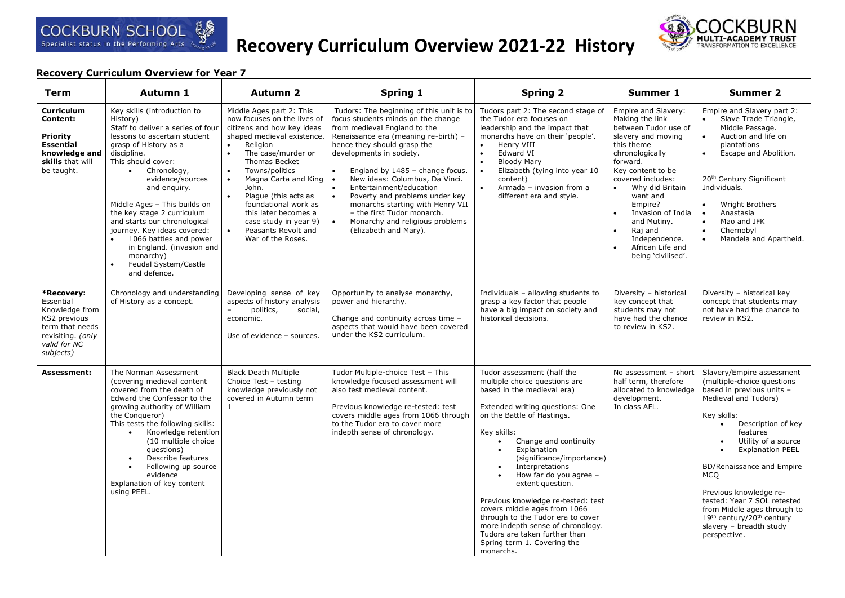

# **Recovery Curriculum Overview 2021-22 History**



| Term                                                                                                                           | Autumn 1                                                                                                                                                                                                                                                                                                                                                                                                                                                                                         | <b>Autumn 2</b>                                                                                                                                                                                                                                                                                                                                                                                                                                             | Spring 1                                                                                                                                                                                                                                                                                                                                                                                                                                                                                       | <b>Spring 2</b>                                                                                                                                                                                                                                                                                                                                                                                                                                                                                                                                           | Summer 1                                                                                                                                                                                                                                                                                                                                                                            | <b>Summer 2</b>                                                                                                                                                                                                                                                                                                                                                                                                                                                              |
|--------------------------------------------------------------------------------------------------------------------------------|--------------------------------------------------------------------------------------------------------------------------------------------------------------------------------------------------------------------------------------------------------------------------------------------------------------------------------------------------------------------------------------------------------------------------------------------------------------------------------------------------|-------------------------------------------------------------------------------------------------------------------------------------------------------------------------------------------------------------------------------------------------------------------------------------------------------------------------------------------------------------------------------------------------------------------------------------------------------------|------------------------------------------------------------------------------------------------------------------------------------------------------------------------------------------------------------------------------------------------------------------------------------------------------------------------------------------------------------------------------------------------------------------------------------------------------------------------------------------------|-----------------------------------------------------------------------------------------------------------------------------------------------------------------------------------------------------------------------------------------------------------------------------------------------------------------------------------------------------------------------------------------------------------------------------------------------------------------------------------------------------------------------------------------------------------|-------------------------------------------------------------------------------------------------------------------------------------------------------------------------------------------------------------------------------------------------------------------------------------------------------------------------------------------------------------------------------------|------------------------------------------------------------------------------------------------------------------------------------------------------------------------------------------------------------------------------------------------------------------------------------------------------------------------------------------------------------------------------------------------------------------------------------------------------------------------------|
| <b>Curriculum</b><br>Content:<br><b>Priority</b><br><b>Essential</b><br>knowledge and<br>skills that will<br>be taught.        | Key skills (introduction to<br>History)<br>Staff to deliver a series of four<br>lessons to ascertain student<br>grasp of History as a<br>discipline.<br>This should cover:<br>$\bullet$<br>Chronology,<br>evidence/sources<br>and enquiry.<br>Middle Ages - This builds on<br>the key stage 2 curriculum<br>and starts our chronological<br>journey. Key ideas covered:<br>1066 battles and power<br>in England. (invasion and<br>monarchy)<br>Feudal System/Castle<br>$\bullet$<br>and defence. | Middle Ages part 2: This<br>now focuses on the lives of<br>citizens and how key ideas<br>shaped medieval existence.<br>$\bullet$<br>Religion<br>$\bullet$<br>The case/murder or<br><b>Thomas Becket</b><br>Towns/politics<br>$\bullet$<br>$\bullet$<br>Magna Carta and King<br>John.<br>Plague (this acts as<br>$\bullet$<br>foundational work as<br>this later becomes a<br>case study in year 9)<br>$\bullet$<br>Peasants Revolt and<br>War of the Roses. | Tudors: The beginning of this unit is to<br>focus students minds on the change<br>from medieval England to the<br>Renaissance era (meaning re-birth) -<br>hence they should grasp the<br>developments in society.<br>England by 1485 - change focus.<br>New ideas: Columbus, Da Vinci.<br>$\bullet$<br>Entertainment/education<br>Poverty and problems under key<br>monarchs starting with Henry VII<br>- the first Tudor monarch.<br>Monarchy and religious problems<br>(Elizabeth and Mary). | Tudors part 2: The second stage of<br>the Tudor era focuses on<br>leadership and the impact that<br>monarchs have on their 'people'.<br>$\bullet$<br>Henry VIII<br>$\bullet$<br>Edward VI<br>$\bullet$<br><b>Bloody Mary</b><br>Elizabeth (tying into year 10<br>$\bullet$<br>content)<br>$\bullet$<br>Armada - invasion from a<br>different era and style.                                                                                                                                                                                               | Empire and Slavery:<br>Making the link<br>between Tudor use of<br>slavery and moving<br>this theme<br>chronologically<br>forward.<br>Key content to be<br>covered includes:<br>Why did Britain<br>$\bullet$<br>want and<br>Empire?<br>Invasion of India<br>$\bullet$<br>and Mutiny.<br>Raj and<br>$\bullet$<br>Independence.<br>African Life and<br>$\bullet$<br>being 'civilised'. | Empire and Slavery part 2:<br>Slave Trade Triangle,<br>$\bullet$<br>Middle Passage.<br>Auction and life on<br>$\bullet$<br>plantations<br>Escape and Abolition.<br>$\bullet$<br>20 <sup>th</sup> Century Significant<br>Individuals.<br>Wright Brothers<br>$\bullet$<br>Anastasia<br>$\bullet$<br>$\bullet$<br>Mao and JFK<br>$\bullet$<br>Chernobyl<br>$\bullet$<br>Mandela and Apartheid.                                                                                  |
| *Recovery:<br>Essential<br>Knowledge from<br>KS2 previous<br>term that needs<br>revisiting. (only<br>valid for NC<br>subjects) | Chronology and understanding<br>of History as a concept.                                                                                                                                                                                                                                                                                                                                                                                                                                         | Developing sense of key<br>aspects of history analysis<br>politics,<br>social,<br>economic.<br>Use of evidence - sources.                                                                                                                                                                                                                                                                                                                                   | Opportunity to analyse monarchy,<br>power and hierarchy.<br>Change and continuity across time -<br>aspects that would have been covered<br>under the KS2 curriculum.                                                                                                                                                                                                                                                                                                                           | Individuals - allowing students to<br>grasp a key factor that people<br>have a big impact on society and<br>historical decisions.                                                                                                                                                                                                                                                                                                                                                                                                                         | Diversity - historical<br>key concept that<br>students may not<br>have had the chance<br>to review in KS2.                                                                                                                                                                                                                                                                          | Diversity - historical key<br>concept that students may<br>not have had the chance to<br>review in KS2.                                                                                                                                                                                                                                                                                                                                                                      |
| Assessment:                                                                                                                    | The Norman Assessment<br>(covering medieval content<br>covered from the death of<br>Edward the Confessor to the<br>growing authority of William<br>the Conqueror)<br>This tests the following skills:<br>Knowledge retention<br>$\bullet$<br>(10 multiple choice<br>questions)<br>Describe features<br>$\bullet$<br>Following up source<br>$\bullet$<br>evidence<br>Explanation of key content<br>using PEEL.                                                                                    | <b>Black Death Multiple</b><br>Choice Test - testing<br>knowledge previously not<br>covered in Autumn term<br>$\mathbf{1}$                                                                                                                                                                                                                                                                                                                                  | Tudor Multiple-choice Test - This<br>knowledge focused assessment will<br>also test medieval content.<br>Previous knowledge re-tested: test<br>covers middle ages from 1066 through<br>to the Tudor era to cover more<br>indepth sense of chronology.                                                                                                                                                                                                                                          | Tudor assessment (half the<br>multiple choice questions are<br>based in the medieval era)<br>Extended writing questions: One<br>on the Battle of Hastings.<br>Key skills:<br>Change and continuity<br>$\bullet$<br>Explanation<br>(significance/importance)<br>Interpretations<br>How far do you agree -<br>extent question.<br>Previous knowledge re-tested: test<br>covers middle ages from 1066<br>through to the Tudor era to cover<br>more indepth sense of chronology.<br>Tudors are taken further than<br>Spring term 1. Covering the<br>monarchs. | No assessment - short<br>half term, therefore<br>allocated to knowledge<br>development.<br>In class AFL.                                                                                                                                                                                                                                                                            | Slavery/Empire assessment<br>(multiple-choice questions<br>based in previous units -<br>Medieval and Tudors)<br>Key skills:<br>Description of key<br>$\bullet$<br>features<br>Utility of a source<br>$\bullet$<br><b>Explanation PEEL</b><br>BD/Renaissance and Empire<br><b>MCO</b><br>Previous knowledge re-<br>tested: Year 7 SOL retested<br>from Middle ages through to<br>19 <sup>th</sup> century/20 <sup>th</sup> century<br>slavery - breadth study<br>perspective. |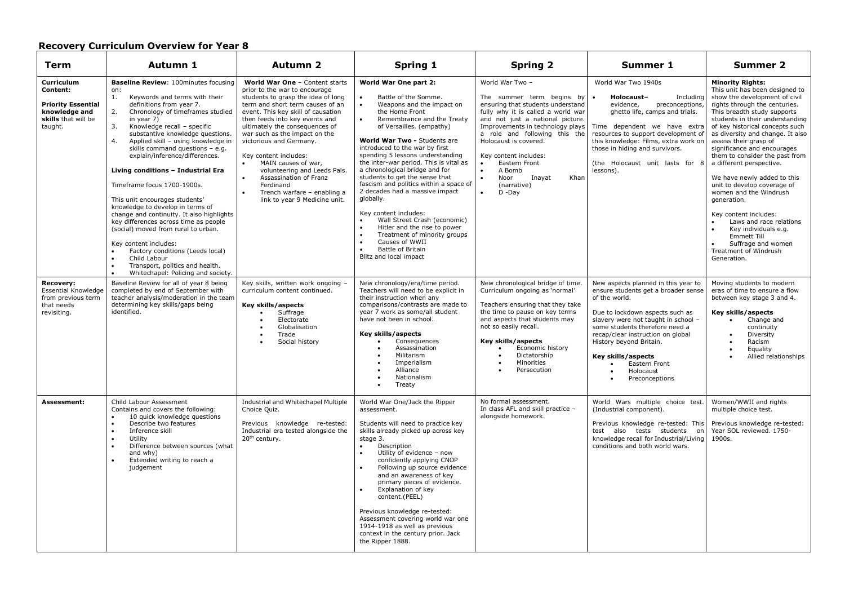| <b>Term</b>                                                                                            | Autumn 1                                                                                                                                                                                                                                                                                                                                                                                                                                                                                                                                                                                                                                                                                                                                                                                                                        | <b>Autumn 2</b>                                                                                                                                                                                                                                                                                                                                                                                                                                                                                                                               | <b>Spring 1</b>                                                                                                                                                                                                                                                                                                                                                                                                                                                                                                                                                                                                                                                                                                                | <b>Spring 2</b>                                                                                                                                                                                                                                                                                                                                                                                            | Summer 1                                                                                                                                                                                                                                                                                                                                      | <b>Summer 2</b>                                                                                                                                                                                                                                                                                                                                                                                                                                                                                                                                                                                                                                                         |
|--------------------------------------------------------------------------------------------------------|---------------------------------------------------------------------------------------------------------------------------------------------------------------------------------------------------------------------------------------------------------------------------------------------------------------------------------------------------------------------------------------------------------------------------------------------------------------------------------------------------------------------------------------------------------------------------------------------------------------------------------------------------------------------------------------------------------------------------------------------------------------------------------------------------------------------------------|-----------------------------------------------------------------------------------------------------------------------------------------------------------------------------------------------------------------------------------------------------------------------------------------------------------------------------------------------------------------------------------------------------------------------------------------------------------------------------------------------------------------------------------------------|--------------------------------------------------------------------------------------------------------------------------------------------------------------------------------------------------------------------------------------------------------------------------------------------------------------------------------------------------------------------------------------------------------------------------------------------------------------------------------------------------------------------------------------------------------------------------------------------------------------------------------------------------------------------------------------------------------------------------------|------------------------------------------------------------------------------------------------------------------------------------------------------------------------------------------------------------------------------------------------------------------------------------------------------------------------------------------------------------------------------------------------------------|-----------------------------------------------------------------------------------------------------------------------------------------------------------------------------------------------------------------------------------------------------------------------------------------------------------------------------------------------|-------------------------------------------------------------------------------------------------------------------------------------------------------------------------------------------------------------------------------------------------------------------------------------------------------------------------------------------------------------------------------------------------------------------------------------------------------------------------------------------------------------------------------------------------------------------------------------------------------------------------------------------------------------------------|
| Curriculum<br>Content:<br><b>Priority Essential</b><br>knowledge and<br>skills that will be<br>taught. | <b>Baseline Review: 100minutes focusing</b><br>on:<br>Keywords and terms with their<br>1.<br>definitions from year 7.<br>Chronology of timeframes studied<br>2.<br>in year 7)<br>3.<br>Knowledge recall - specific<br>substantive knowledge questions.<br>4.<br>Applied skill - using knowledge in<br>skills command questions - e.g.<br>explain/inference/differences.<br>Living conditions - Industrial Era<br>Timeframe focus 1700-1900s.<br>This unit encourages students'<br>knowledge to develop in terms of<br>change and continuity. It also highlights<br>key differences across time as people<br>(social) moved from rural to urban.<br>Key content includes:<br>Factory conditions (Leeds local)<br>Child Labour<br>$\bullet$<br>Transport, politics and health.<br>$\bullet$<br>Whitechapel: Policing and society. | World War One - Content starts<br>prior to the war to encourage<br>students to grasp the idea of long<br>term and short term causes of an<br>event. This key skill of causation<br>then feeds into key events and<br>ultimately the consequences of<br>war such as the impact on the<br>victorious and Germany.<br>Key content includes:<br>MAIN causes of war,<br>$\bullet$<br>volunteering and Leeds Pals.<br>Assassination of Franz<br>$\bullet$<br>Ferdinand<br>Trench warfare - enabling a<br>$\bullet$<br>link to year 9 Medicine unit. | World War One part 2:<br>Battle of the Somme.<br>$\bullet$<br>Weapons and the impact on<br>the Home Front<br>Remembrance and the Treaty<br>of Versailles. (empathy)<br>World War Two - Students are<br>introduced to the war by first<br>spending 5 lessons understanding<br>the inter-war period. This is vital as<br>a chronological bridge and for<br>students to get the sense that<br>fascism and politics within a space of<br>2 decades had a massive impact<br>globally.<br>Key content includes:<br>Wall Street Crash (economic)<br>$\bullet$<br>Hitler and the rise to power<br>$\bullet$<br>Treatment of minority groups<br>$\bullet$<br>Causes of WWII<br>$\bullet$<br>Battle of Britain<br>Blitz and local impact | World War Two -<br>The summer term begins by<br>ensuring that students understand<br>fully why it is called a world war<br>and not just a national picture.<br>Improvements in technology plays<br>a role and following this the<br>Holocaust is covered.<br>Key content includes:<br>Eastern Front<br>A Bomb<br>$\bullet$<br>$\bullet$<br>Noor<br>Inayat<br>Khan<br>(narrative)<br>$\bullet$<br>$D - Day$ | World War Two 1940s<br>Holocaust-<br>Including<br>$\bullet$<br>evidence.<br>preconceptions,<br>ghetto life, camps and trials.<br>Time dependent we have extra<br>resources to support development of<br>this knowledge: Films, extra work on<br>those in hiding and survivors.<br>(the Holocaust unit lasts for 8<br>lessons).                | <b>Minority Rights:</b><br>This unit has been designed to<br>show the development of civil<br>rights through the centuries.<br>This breadth study supports<br>students in their understanding<br>of key historical concepts such<br>as diversity and change. It also<br>assess their grasp of<br>significance and encourages<br>them to consider the past from<br>a different perspective.<br>We have newly added to this<br>unit to develop coverage of<br>women and the Windrush<br>generation.<br>Key content includes:<br>Laws and race relations<br>$\bullet$<br>Key individuals e.g.<br>Emmett Till<br>Suffrage and women<br>Treatment of Windrush<br>Generation. |
| <b>Recovery:</b><br><b>Essential Knowledge</b><br>from previous term<br>that needs<br>revisiting.      | Baseline Review for all of year 8 being<br>completed by end of September with<br>teacher analysis/moderation in the team<br>determining key skills/gaps being<br>identified.                                                                                                                                                                                                                                                                                                                                                                                                                                                                                                                                                                                                                                                    | Key skills, written work ongoing -<br>curriculum content continued.<br>Key skills/aspects<br>Suffrage<br>Electorate<br>Globalisation<br>Trade<br>Social history                                                                                                                                                                                                                                                                                                                                                                               | New chronology/era/time period.<br>Teachers will need to be explicit in<br>their instruction when any<br>comparisons/contrasts are made to<br>year 7 work as some/all student<br>have not been in school.<br>Key skills/aspects<br>Consequences<br>Assassination<br>Militarism<br>Imperialism<br>Alliance<br>Nationalism<br>Treaty                                                                                                                                                                                                                                                                                                                                                                                             | New chronological bridge of time.<br>Curriculum ongoing as 'normal'<br>Teachers ensuring that they take<br>the time to pause on key terms<br>and aspects that students may<br>not so easily recall.<br>Key skills/aspects<br>Economic history<br>Dictatorship<br>Minorities<br>Persecution                                                                                                                 | New aspects planned in this year to<br>ensure students get a broader sense<br>of the world.<br>Due to lockdown aspects such as<br>slavery were not taught in school -<br>some students therefore need a<br>recap/clear instruction on global<br>History beyond Britain.<br>Key skills/aspects<br>Eastern Front<br>Holocaust<br>Preconceptions | Moving students to modern<br>eras of time to ensure a flow<br>between key stage 3 and 4.<br>Key skills/aspects<br>Change and<br>continuity<br>Diversity<br>Racism<br>Equality<br>Allied relationships                                                                                                                                                                                                                                                                                                                                                                                                                                                                   |
| Assessment:                                                                                            | Child Labour Assessment<br>Contains and covers the following:<br>10 quick knowledge questions<br>$\bullet$<br>Describe two features<br>Inference skill<br>$\bullet$<br>Utility<br>$\bullet$<br>Difference between sources (what<br>$\bullet$<br>and why)<br>Extended writing to reach a<br>judgement                                                                                                                                                                                                                                                                                                                                                                                                                                                                                                                            | Industrial and Whitechapel Multiple<br>Choice Quiz.<br>Previous knowledge re-tested:<br>Industrial era tested alongside the<br>20 <sup>th</sup> century.                                                                                                                                                                                                                                                                                                                                                                                      | World War One/Jack the Ripper<br>assessment.<br>Students will need to practice key<br>skills already picked up across key<br>stage 3.<br>Description<br>$\bullet$<br>Utility of evidence - now<br>$\bullet$<br>confidently applying CNOP<br>Following up source evidence<br>$\bullet$<br>and an awareness of key<br>primary pieces of evidence.<br>Explanation of key<br>$\bullet$<br>content.(PEEL)<br>Previous knowledge re-tested:<br>Assessment covering world war one<br>1914-1918 as well as previous<br>context in the century prior. Jack<br>the Ripper 1888.                                                                                                                                                          | No formal assessment.<br>In class AFL and skill practice -<br>alongside homework.                                                                                                                                                                                                                                                                                                                          | World Wars multiple choice test.<br>(Industrial component).<br>Previous knowledge re-tested: This<br>test also tests students<br>on<br>knowledge recall for Industrial/Living<br>conditions and both world wars.                                                                                                                              | Women/WWII and rights<br>multiple choice test.<br>Previous knowledge re-tested:<br>Year SOL reviewed. 1750-<br>1900s.                                                                                                                                                                                                                                                                                                                                                                                                                                                                                                                                                   |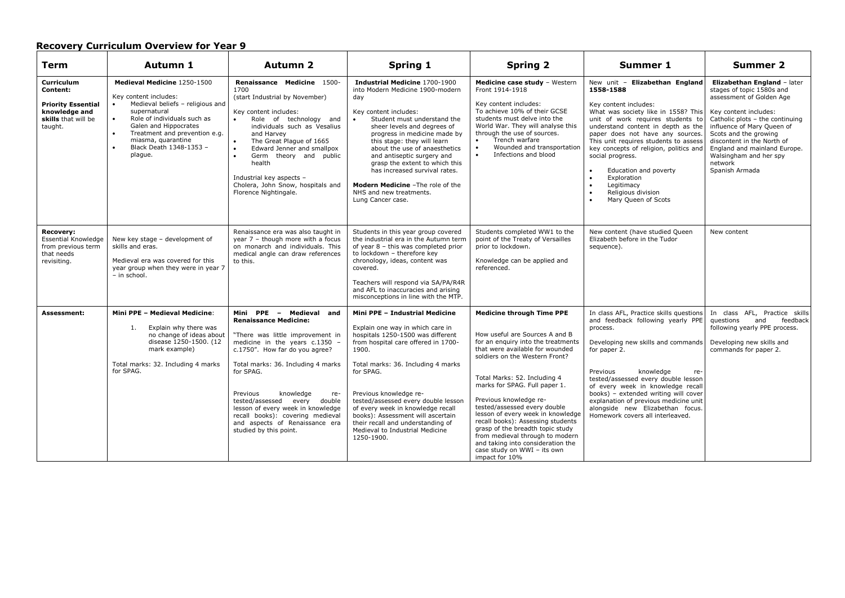| Term                                                                                                   | Autumn 1                                                                                                                                                                                                                                                                                             | Autumn 2                                                                                                                                                                                                                                                                                                                                                                                                                | Spring 1                                                                                                                                                                                                                                                                                                                                                                                                                                                                         | <b>Spring 2</b>                                                                                                                                                                                                                                                                                                                                                                                                                                                                                                                                 | <b>Summer 1</b>                                                                                                                                                                                                                                                                                                                                                                                                                                                | <b>Summer 2</b>                                                                                                                                                                                                                                                                                                              |
|--------------------------------------------------------------------------------------------------------|------------------------------------------------------------------------------------------------------------------------------------------------------------------------------------------------------------------------------------------------------------------------------------------------------|-------------------------------------------------------------------------------------------------------------------------------------------------------------------------------------------------------------------------------------------------------------------------------------------------------------------------------------------------------------------------------------------------------------------------|----------------------------------------------------------------------------------------------------------------------------------------------------------------------------------------------------------------------------------------------------------------------------------------------------------------------------------------------------------------------------------------------------------------------------------------------------------------------------------|-------------------------------------------------------------------------------------------------------------------------------------------------------------------------------------------------------------------------------------------------------------------------------------------------------------------------------------------------------------------------------------------------------------------------------------------------------------------------------------------------------------------------------------------------|----------------------------------------------------------------------------------------------------------------------------------------------------------------------------------------------------------------------------------------------------------------------------------------------------------------------------------------------------------------------------------------------------------------------------------------------------------------|------------------------------------------------------------------------------------------------------------------------------------------------------------------------------------------------------------------------------------------------------------------------------------------------------------------------------|
| Curriculum<br>Content:<br><b>Priority Essential</b><br>knowledge and<br>skills that will be<br>taught. | Medieval Medicine 1250-1500<br>Key content includes:<br>Medieval beliefs - religious and<br>supernatural<br>Role of individuals such as<br>$\bullet$<br>Galen and Hippocrates<br>Treatment and prevention e.g.<br>$\bullet$<br>miasma, quarantine<br>Black Death 1348-1353 -<br>$\bullet$<br>plaque. | Renaissance Medicine 1500-<br>1700<br>(start Industrial by November)<br>Key content includes:<br>Role of technology and<br>individuals such as Vesalius<br>and Harvey<br>The Great Plague of 1665<br>$\bullet$<br>$\bullet$<br>Edward Jenner and smallpox<br>$\bullet$<br>Germ theory and public<br>health<br>Industrial key aspects -<br>Cholera, John Snow, hospitals and<br>Florence Nightingale.                    | <b>Industrial Medicine 1700-1900</b><br>into Modern Medicine 1900-modern<br>day<br>Key content includes:<br>$\bullet$<br>Student must understand the<br>sheer levels and degrees of<br>progress in medicine made by<br>this stage: they will learn<br>about the use of anaesthetics<br>and antiseptic surgery and<br>grasp the extent to which this<br>has increased survival rates.<br><b>Modern Medicine</b> - The role of the<br>NHS and new treatments.<br>Lung Cancer case. | Medicine case study - Western<br>Front 1914-1918<br>Key content includes:<br>To achieve 10% of their GCSE<br>students must delve into the<br>World War. They will analyse this<br>through the use of sources.<br>Trench warfare<br>$\bullet$<br>Wounded and transportation<br>$\bullet$<br>Infections and blood<br>$\bullet$                                                                                                                                                                                                                    | New unit - Elizabethan England<br>1558-1588<br>Key content includes:<br>What was society like in 1558? This<br>unit of work requires students to<br>understand content in depth as the<br>paper does not have any sources.<br>This unit requires students to assess<br>key concepts of religion, politics and<br>social progress.<br>Education and poverty<br>$\bullet$<br>Exploration<br>Legitimacy<br>$\bullet$<br>Religious division<br>Mary Queen of Scots | Elizabethan England - later<br>stages of topic 1580s and<br>assessment of Golden Age<br>Key content includes:<br>Catholic plots - the continuing<br>influence of Mary Queen of<br>Scots and the growing<br>discontent in the North of<br>England and mainland Europe.<br>Walsingham and her spy<br>network<br>Spanish Armada |
| <b>Recovery:</b><br><b>Essential Knowledge</b><br>from previous term<br>that needs<br>revisiting.      | New key stage - development of<br>skills and eras.<br>Medieval era was covered for this<br>year group when they were in year 7<br>- in school.                                                                                                                                                       | Renaissance era was also taught in<br>year $7$ - though more with a focus<br>on monarch and individuals. This<br>medical angle can draw references<br>to this.                                                                                                                                                                                                                                                          | Students in this year group covered<br>the industrial era in the Autumn term<br>of year 8 - this was completed prior<br>to lockdown - therefore key<br>chronology, ideas, content was<br>covered.<br>Teachers will respond via SA/PA/R4R<br>and AFL to inaccuracies and arising<br>misconceptions in line with the MTP.                                                                                                                                                          | Students completed WW1 to the<br>point of the Treaty of Versailles<br>prior to lockdown.<br>Knowledge can be applied and<br>referenced.                                                                                                                                                                                                                                                                                                                                                                                                         | New content (have studied Queen<br>Elizabeth before in the Tudor<br>sequence).                                                                                                                                                                                                                                                                                                                                                                                 | New content                                                                                                                                                                                                                                                                                                                  |
| Assessment:                                                                                            | Mini PPE - Medieval Medicine:<br>Explain why there was<br>1.<br>no change of ideas about<br>disease 1250-1500. (12<br>mark example)<br>Total marks: 32. Including 4 marks<br>for SPAG.                                                                                                               | Mini PPE - Medieval and<br><b>Renaissance Medicine:</b><br>"There was little improvement in<br>medicine in the years c.1350 -<br>c.1750". How far do you agree?<br>Total marks: 36. Including 4 marks<br>for SPAG.<br>Previous<br>knowledge<br>re-<br>tested/assessed every double<br>lesson of every week in knowledge<br>recall books): covering medieval<br>and aspects of Renaissance era<br>studied by this point. | Mini PPE - Industrial Medicine<br>Explain one way in which care in<br>hospitals 1250-1500 was different<br>from hospital care offered in 1700-<br>1900.<br>Total marks: 36. Including 4 marks<br>for SPAG.<br>Previous knowledge re-<br>tested/assessed every double lesson<br>of every week in knowledge recall<br>books): Assessment will ascertain<br>their recall and understanding of<br>Medieval to Industrial Medicine<br>1250-1900.                                      | <b>Medicine through Time PPE</b><br>How useful are Sources A and B<br>for an enquiry into the treatments<br>that were available for wounded<br>soldiers on the Western Front?<br>Total Marks: 52. Including 4<br>marks for SPAG. Full paper 1.<br>Previous knowledge re-<br>tested/assessed every double<br>lesson of every week in knowledge<br>recall books): Assessing students<br>grasp of the breadth topic study<br>from medieval through to modern<br>and taking into consideration the<br>case study on WWI - its own<br>impact for 10% | In class AFL, Practice skills questions<br>and feedback following yearly PPE<br>process.<br>Developing new skills and commands<br>for paper 2.<br>Previous<br>knowledge<br>re-<br>tested/assessed every double lesson<br>of every week in knowledge recall<br>books) - extended writing will cover<br>explanation of previous medicine unit<br>alongside new Elizabethan focus.<br>Homework covers all interleaved.                                            | In class AFL, Practice skills<br>feedback<br>questions<br>and<br>following yearly PPE process.<br>Developing new skills and<br>commands for paper 2.                                                                                                                                                                         |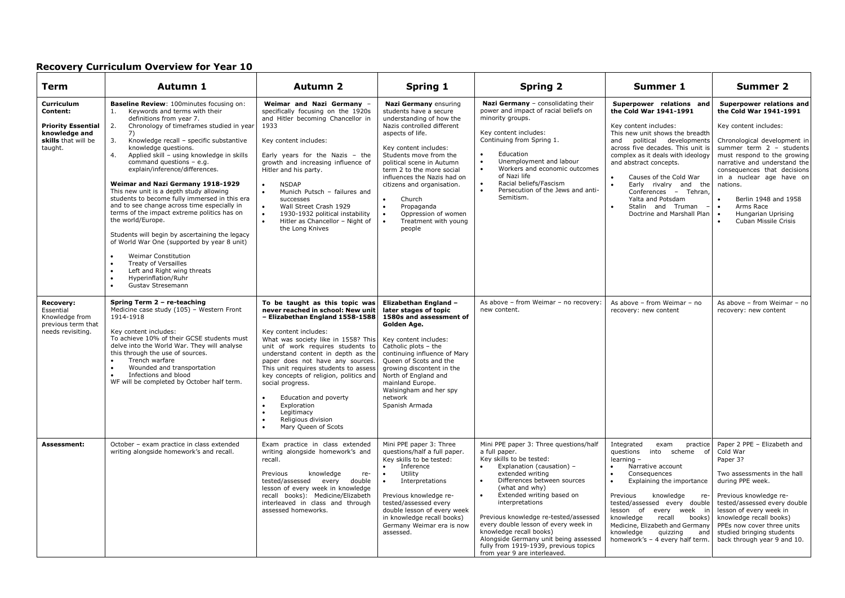| Term                                                                                                   | Autumn 1                                                                                                                                                                                                                                                                                                                                                                                                                                                                                                                                                                                                                                                                                                                                                                                                                                                                                                             | <b>Autumn 2</b>                                                                                                                                                                                                                                                                                                                                                                                                                                                                                              | Spring 1                                                                                                                                                                                                                                                                                                                                                                                                           | <b>Spring 2</b>                                                                                                                                                                                                                                                                                                                                                                                                                                                                  | Summer 1                                                                                                                                                                                                                                                                                                                                                                                                                                    | <b>Summer 2</b>                                                                                                                                                                                                                                                                                                                                                                                           |
|--------------------------------------------------------------------------------------------------------|----------------------------------------------------------------------------------------------------------------------------------------------------------------------------------------------------------------------------------------------------------------------------------------------------------------------------------------------------------------------------------------------------------------------------------------------------------------------------------------------------------------------------------------------------------------------------------------------------------------------------------------------------------------------------------------------------------------------------------------------------------------------------------------------------------------------------------------------------------------------------------------------------------------------|--------------------------------------------------------------------------------------------------------------------------------------------------------------------------------------------------------------------------------------------------------------------------------------------------------------------------------------------------------------------------------------------------------------------------------------------------------------------------------------------------------------|--------------------------------------------------------------------------------------------------------------------------------------------------------------------------------------------------------------------------------------------------------------------------------------------------------------------------------------------------------------------------------------------------------------------|----------------------------------------------------------------------------------------------------------------------------------------------------------------------------------------------------------------------------------------------------------------------------------------------------------------------------------------------------------------------------------------------------------------------------------------------------------------------------------|---------------------------------------------------------------------------------------------------------------------------------------------------------------------------------------------------------------------------------------------------------------------------------------------------------------------------------------------------------------------------------------------------------------------------------------------|-----------------------------------------------------------------------------------------------------------------------------------------------------------------------------------------------------------------------------------------------------------------------------------------------------------------------------------------------------------------------------------------------------------|
| Curriculum<br>Content:<br><b>Priority Essential</b><br>knowledge and<br>skills that will be<br>taught. | Baseline Review: 100minutes focusing on:<br>Keywords and terms with their<br>1.<br>definitions from year 7.<br>2.<br>Chronology of timeframes studied in year<br>7)<br>3.<br>Knowledge recall - specific substantive<br>knowledge questions.<br>4.<br>Applied skill - using knowledge in skills<br>command questions - e.g.<br>explain/inference/differences.<br>Weimar and Nazi Germany 1918-1929<br>This new unit is a depth study allowing<br>students to become fully immersed in this era<br>and to see change across time especially in<br>terms of the impact extreme politics has on<br>the world/Europe.<br>Students will begin by ascertaining the legacy<br>of World War One (supported by year 8 unit)<br><b>Weimar Constitution</b><br>$\bullet$<br>Treaty of Versailles<br>$\bullet$<br>Left and Right wing threats<br>$\bullet$<br>Hyperinflation/Ruhr<br>$\bullet$<br>$\bullet$<br>Gustav Stresemann | Weimar and Nazi Germany -<br>specifically focusing on the 1920s<br>and Hitler becoming Chancellor in<br>1933<br>Key content includes:<br>Early years for the Nazis - the<br>growth and increasing influence of<br>Hitler and his party.<br><b>NSDAP</b><br>Munich Putsch - failures and<br>successes<br>$\bullet$<br>Wall Street Crash 1929<br>1930-1932 political instability<br>$\bullet$<br>Hitler as Chancellor - Night of<br>the Long Knives                                                            | Nazi Germany ensuring<br>students have a secure<br>understanding of how the<br>Nazis controlled different<br>aspects of life.<br>Key content includes:<br>Students move from the<br>political scene in Autumn<br>term 2 to the more social<br>influences the Nazis had on<br>citizens and organisation.<br>Church<br>Propaganda<br>$\bullet$<br>Oppression of women<br>$\bullet$<br>Treatment with young<br>people | Nazi Germany - consolidating their<br>power and impact of racial beliefs on<br>minority groups.<br>Key content includes:<br>Continuing from Spring 1.<br>Education<br>$\bullet$<br>Unemployment and labour<br>$\bullet$<br>Workers and economic outcomes<br>$\bullet$<br>of Nazi life<br>Racial beliefs/Fascism<br>$\bullet$<br>Persecution of the Jews and anti-<br>Semitism.                                                                                                   | Superpower relations and<br>the Cold War 1941-1991<br>Key content includes:<br>This new unit shows the breadth<br>and political developments<br>across five decades. This unit is<br>complex as it deals with ideology<br>and abstract concepts.<br>Causes of the Cold War<br>$\bullet$<br>Early rivalry and the<br>$\bullet$<br>Conferences - Tehran,<br>Yalta and Potsdam<br>Stalin and Truman<br>$\bullet$<br>Doctrine and Marshall Plan | Superpower relations and<br>the Cold War 1941-1991<br>Key content includes:<br>Chronological development in<br>summer term $2 - students$<br>must respond to the growing<br>narrative and understand the<br>consequences that decisions<br>in a nuclear age have on<br>nations.<br>Berlin 1948 and 1958<br>$\bullet$<br>Arms Race<br>$\bullet$<br>Hungarian Uprising<br>$\bullet$<br>Cuban Missile Crisis |
| Recovery:<br>Essential<br>Knowledge from<br>previous term that<br>needs revisiting.                    | Spring Term 2 - re-teaching<br>Medicine case study (105) - Western Front<br>1914-1918<br>Key content includes:<br>To achieve 10% of their GCSE students must<br>delve into the World War. They will analyse<br>this through the use of sources.<br>Trench warfare<br>$\bullet$<br>Wounded and transportation<br>Infections and blood<br>WF will be completed by October half term.                                                                                                                                                                                                                                                                                                                                                                                                                                                                                                                                   | To be taught as this topic was<br>never reached in school: New unit<br>- Elizabethan England 1558-1588<br>Key content includes:<br>What was society like in 1558? This<br>unit of work requires students to<br>understand content in depth as the<br>paper does not have any sources.<br>This unit requires students to assess<br>key concepts of religion, politics and<br>social progress.<br>Education and poverty<br>Exploration<br>$\bullet$<br>Legitimacy<br>Religious division<br>Mary Queen of Scots | Elizabethan England -<br>later stages of topic<br>1580s and assessment of<br>Golden Age.<br>Key content includes:<br>Catholic plots - the<br>continuing influence of Mary<br>Queen of Scots and the<br>growing discontent in the<br>North of England and<br>mainland Europe.<br>Walsingham and her spy<br>network<br>Spanish Armada                                                                                | As above - from Weimar - no recovery:<br>new content.                                                                                                                                                                                                                                                                                                                                                                                                                            | As above - from Weimar - no<br>recovery: new content                                                                                                                                                                                                                                                                                                                                                                                        | As above - from Weimar - no<br>recovery: new content                                                                                                                                                                                                                                                                                                                                                      |
| Assessment:                                                                                            | October - exam practice in class extended<br>writing alongside homework's and recall.                                                                                                                                                                                                                                                                                                                                                                                                                                                                                                                                                                                                                                                                                                                                                                                                                                | Exam practice in class extended<br>writing alongside homework's and<br>recall.<br>Previous<br>knowledge<br>re-<br>tested/assessed every double<br>lesson of every week in knowledge<br>recall books): Medicine/Elizabeth<br>interleaved in class and through<br>assessed homeworks.                                                                                                                                                                                                                          | Mini PPE paper 3: Three<br>questions/half a full paper.<br>Key skills to be tested:<br>Inference<br>$\bullet$<br>$\bullet$<br>Utility<br>$\bullet$<br>Interpretations<br>Previous knowledge re-<br>tested/assessed every<br>double lesson of every week<br>in knowledge recall books)<br>Germany Weimar era is now<br>assessed.                                                                                    | Mini PPE paper 3: Three questions/half<br>a full paper.<br>Key skills to be tested:<br>Explanation (causation) -<br>extended writing<br>Differences between sources<br>(what and why)<br>Extended writing based on<br>$\bullet$<br>interpretations<br>Previous knowledge re-tested/assessed<br>every double lesson of every week in<br>knowledge recall books)<br>Alongside Germany unit being assessed<br>fully from 1919-1939, previous topics<br>from year 9 are interleaved. | Integrated<br>exam<br>practice<br>questions<br>into scheme of<br>learning -<br>Narrative account<br>Consequences<br>$\bullet$<br>Explaining the importance<br>knowledge<br>Previous<br>re-<br>tested/assessed every double<br>lesson of every week in<br>knowledge<br>recall<br>books)<br>Medicine, Elizabeth and Germany<br>knowledge<br>quizzing<br>and<br>homework's - 4 every half term                                                 | Paper 2 PPE - Elizabeth and<br>Cold War<br>Paper 3?<br>Two assessments in the hall<br>during PPE week.<br>Previous knowledge re-<br>tested/assessed every double<br>lesson of every week in<br>knowledge recall books)<br>PPEs now cover three units<br>studied bringing students<br>back through year 9 and 10.                                                                                          |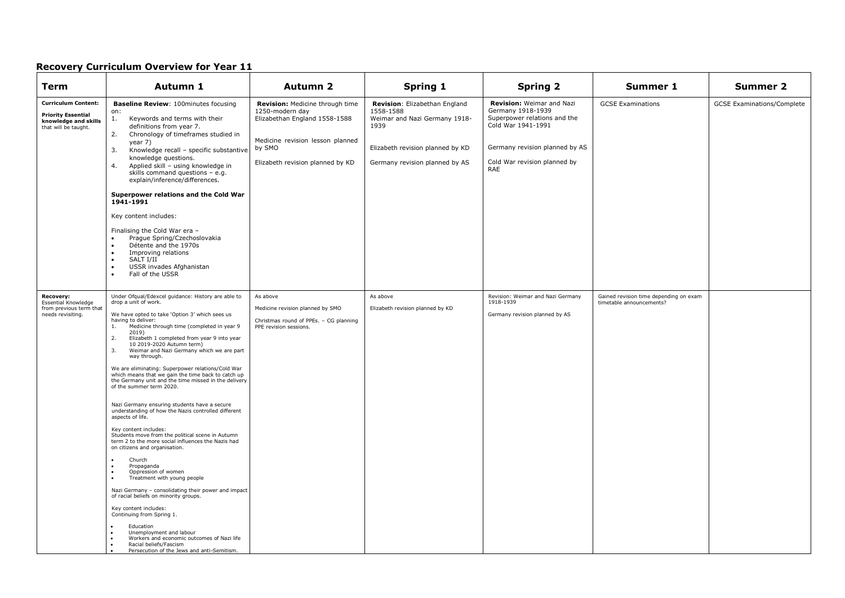| <b>Term</b>                                                                                             | Autumn 1                                                                                                                                                                                                                                                                                                                                                                                                                                                                                                                                                                                                                                                                                                                                                                                                                                                                                                                                                                                                                                                                                                                                                                                                                                                             | <b>Autumn 2</b>                                                                                                                                                       | Spring 1                                                                                                                                                  | <b>Spring 2</b>                                                                                                                                                                      | Summer 1                                                           | Summer 2                          |
|---------------------------------------------------------------------------------------------------------|----------------------------------------------------------------------------------------------------------------------------------------------------------------------------------------------------------------------------------------------------------------------------------------------------------------------------------------------------------------------------------------------------------------------------------------------------------------------------------------------------------------------------------------------------------------------------------------------------------------------------------------------------------------------------------------------------------------------------------------------------------------------------------------------------------------------------------------------------------------------------------------------------------------------------------------------------------------------------------------------------------------------------------------------------------------------------------------------------------------------------------------------------------------------------------------------------------------------------------------------------------------------|-----------------------------------------------------------------------------------------------------------------------------------------------------------------------|-----------------------------------------------------------------------------------------------------------------------------------------------------------|--------------------------------------------------------------------------------------------------------------------------------------------------------------------------------------|--------------------------------------------------------------------|-----------------------------------|
| <b>Curriculum Content:</b><br><b>Priority Essential</b><br>knowledge and skills<br>that will be taught. | <b>Baseline Review: 100minutes focusing</b><br>on:<br>1.<br>Keywords and terms with their<br>definitions from year 7.<br>Chronology of timeframes studied in<br>2.<br>year 7)<br>Knowledge recall - specific substantive<br>3.<br>knowledge questions.<br>4.<br>Applied skill - using knowledge in<br>skills command questions - e.g.<br>explain/inference/differences.<br>Superpower relations and the Cold War<br>1941-1991<br>Key content includes:<br>Finalising the Cold War era -<br>Prague Spring/Czechoslovakia<br>Détente and the 1970s<br>Improving relations<br>$\bullet$<br>SALT I/II<br>$\bullet$<br>USSR invades Afghanistan<br>$\bullet$<br>Fall of the USSR<br>$\bullet$                                                                                                                                                                                                                                                                                                                                                                                                                                                                                                                                                                             | Revision: Medicine through time<br>1250-modern day<br>Elizabethan England 1558-1588<br>Medicine revision lesson planned<br>by SMO<br>Elizabeth revision planned by KD | Revision: Elizabethan England<br>1558-1588<br>Weimar and Nazi Germany 1918-<br>1939<br>Elizabeth revision planned by KD<br>Germany revision planned by AS | <b>Revision: Weimar and Nazi</b><br>Germany 1918-1939<br>Superpower relations and the<br>Cold War 1941-1991<br>Germany revision planned by AS<br>Cold War revision planned by<br>RAE | <b>GCSE Examinations</b>                                           | <b>GCSE Examinations/Complete</b> |
| Recovery:<br>Essential Knowledge<br>from previous term that<br>needs revisiting.                        | Under Ofgual/Edexcel quidance: History are able to<br>drop a unit of work.<br>We have opted to take 'Option 3' which sees us<br>having to deliver:<br>Medicine through time (completed in year 9<br>1.<br>2019)<br>2.<br>Elizabeth 1 completed from year 9 into year<br>10 2019-2020 Autumn term)<br>Weimar and Nazi Germany which we are part<br>3.<br>way through.<br>We are eliminating: Superpower relations/Cold War<br>which means that we gain the time back to catch up<br>the Germany unit and the time missed in the delivery<br>of the summer term 2020.<br>Nazi Germany ensuring students have a secure<br>understanding of how the Nazis controlled different<br>aspects of life.<br>Key content includes:<br>Students move from the political scene in Autumn<br>term 2 to the more social influences the Nazis had<br>on citizens and organisation.<br>Church<br>Propaganda<br>Oppression of women<br>Treatment with young people<br>Nazi Germany - consolidating their power and impact<br>of racial beliefs on minority groups.<br>Key content includes:<br>Continuing from Spring 1.<br>Education<br>Unemployment and labour<br>Workers and economic outcomes of Nazi life<br>Racial beliefs/Fascism<br>Persecution of the Jews and anti-Semitism. | As above<br>Medicine revision planned by SMO<br>Christmas round of PPEs. - CG planning<br>PPE revision sessions.                                                      | As above<br>Elizabeth revision planned by KD                                                                                                              | Revision: Weimar and Nazi Germany<br>1918-1939<br>Germany revision planned by AS                                                                                                     | Gained revision time depending on exam<br>timetable announcements? |                                   |